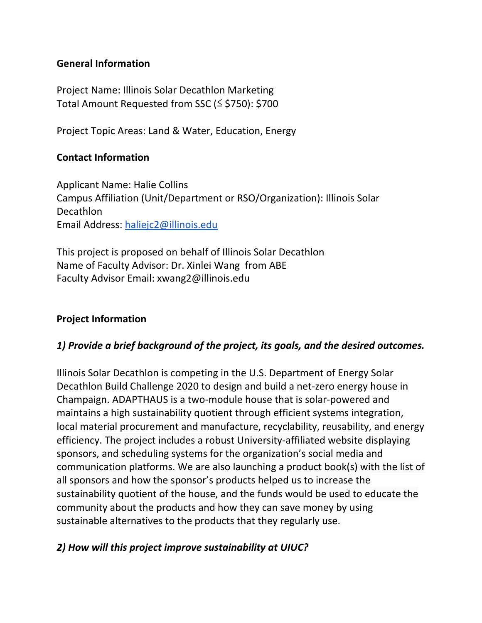#### **General Information**

Project Name: Illinois Solar Decathlon Marketing Total Amount Requested from SSC (≤ \$750): \$700

Project Topic Areas: Land & Water, Education, Energy

#### **Contact Information**

Applicant Name: Halie Collins Campus Affiliation (Unit/Department or RSO/Organization): Illinois Solar Decathlon Email Address: [haliejc2@illinois.edu](mailto:haliejc2@illinois.edu)

This project is proposed on behalf of Illinois Solar Decathlon Name of Faculty Advisor: Dr. Xinlei Wang from ABE Faculty Advisor Email: xwang2@illinois.edu

#### **Project Information**

#### *1) Provide a brief background of the project, its goals, and the desired outcomes.*

Illinois Solar Decathlon is competing in the U.S. Department of Energy Solar Decathlon Build Challenge 2020 to design and build a net-zero energy house in Champaign. ADAPTHAUS is a two-module house that is solar-powered and maintains a high sustainability quotient through efficient systems integration, local material procurement and manufacture, recyclability, reusability, and energy efficiency. The project includes a robust University-affiliated website displaying sponsors, and scheduling systems for the organization's social media and communication platforms. We are also launching a product book(s) with the list of all sponsors and how the sponsor's products helped us to increase the sustainability quotient of the house, and the funds would be used to educate the community about the products and how they can save money by using sustainable alternatives to the products that they regularly use.

#### *2) How will this project improve sustainability at UIUC?*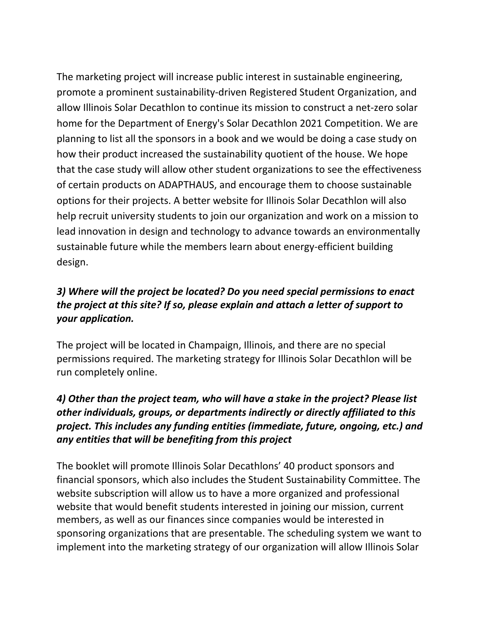The marketing project will increase public interest in sustainable engineering, promote a prominent sustainability-driven Registered Student Organization, and allow Illinois Solar Decathlon to continue its mission to construct a net-zero solar home for the Department of Energy's Solar Decathlon 2021 Competition. We are planning to list all the sponsors in a book and we would be doing a case study on how their product increased the sustainability quotient of the house. We hope that the case study will allow other student organizations to see the effectiveness of certain products on ADAPTHAUS, and encourage them to choose sustainable options for their projects. A better website for Illinois Solar Decathlon will also help recruit university students to join our organization and work on a mission to lead innovation in design and technology to advance towards an environmentally sustainable future while the members learn about energy-efficient building design.

# *3) Where will the project be located? Do you need special permissions to enact the project at this site? If so, please explain and attach a letter of support to your application.*

The project will be located in Champaign, Illinois, and there are no special permissions required. The marketing strategy for Illinois Solar Decathlon will be run completely online.

# *4) Other than the project team, who will have a stake in the project? Please list other individuals, groups, or departments indirectly or directly affiliated to this project. This includes any funding entities (immediate, future, ongoing, etc.) and any entities that will be benefiting from this project*

The booklet will promote Illinois Solar Decathlons' 40 product sponsors and financial sponsors, which also includes the Student Sustainability Committee. The website subscription will allow us to have a more organized and professional website that would benefit students interested in joining our mission, current members, as well as our finances since companies would be interested in sponsoring organizations that are presentable. The scheduling system we want to implement into the marketing strategy of our organization will allow Illinois Solar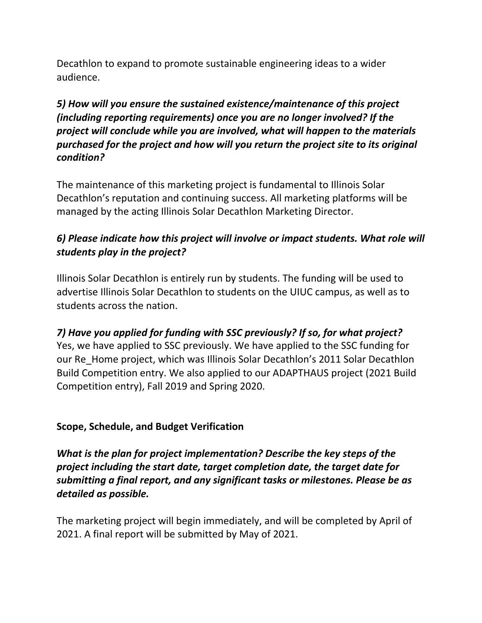Decathlon to expand to promote sustainable engineering ideas to a wider audience.

*5) How will you ensure the sustained existence/maintenance of this project (including reporting requirements) once you are no longer involved? If the project will conclude while you are involved, what will happen to the materials purchased for the project and how will you return the project site to its original condition?*

The maintenance of this marketing project is fundamental to Illinois Solar Decathlon's reputation and continuing success. All marketing platforms will be managed by the acting Illinois Solar Decathlon Marketing Director.

# *6) Please indicate how this project will involve or impact students. What role will students play in the project?*

Illinois Solar Decathlon is entirely run by students. The funding will be used to advertise Illinois Solar Decathlon to students on the UIUC campus, as well as to students across the nation.

*7) Have you applied for funding with SSC previously? If so, for what project?* Yes, we have applied to SSC previously. We have applied to the SSC funding for our Re\_Home project, which was Illinois Solar Decathlon's 2011 Solar Decathlon Build Competition entry. We also applied to our ADAPTHAUS project (2021 Build Competition entry), Fall 2019 and Spring 2020.

#### **Scope, Schedule, and Budget Verification**

*What is the plan for project implementation? Describe the key steps of the project including the start date, target completion date, the target date for submitting a final report, and any significant tasks or milestones. Please be as detailed as possible.*

The marketing project will begin immediately, and will be completed by April of 2021. A final report will be submitted by May of 2021.